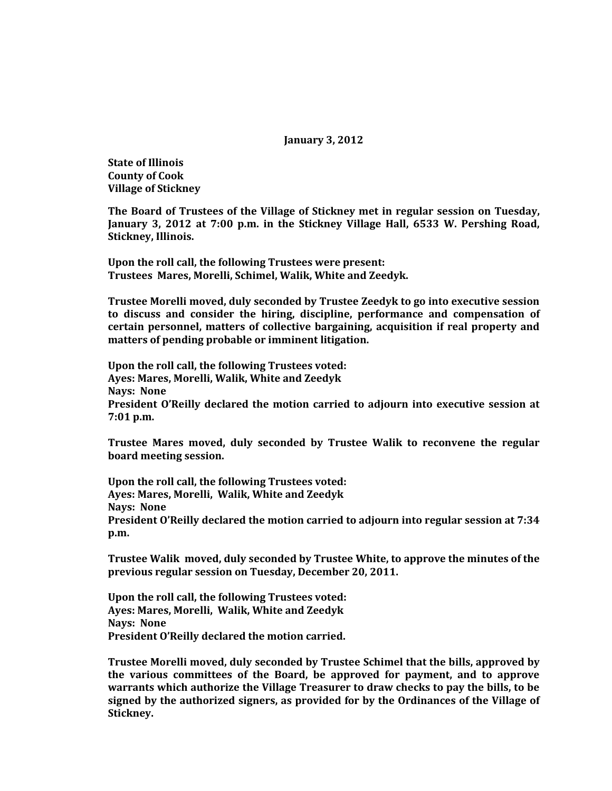**January 3, 2012**

**State of Illinois County of Cook Village of Stickney**

**The Board of Trustees of the Village of Stickney met in regular session on Tuesday, January 3, 2012 at 7:00 p.m. in the Stickney Village Hall, 6533 W. Pershing Road, Stickney, Illinois.**

**Upon the roll call, the following Trustees were present: Trustees Mares, Morelli, Schimel, Walik, White and Zeedyk.** 

**Trustee Morelli moved, duly seconded by Trustee Zeedyk to go into executive session to discuss and consider the hiring, discipline, performance and compensation of certain personnel, matters of collective bargaining, acquisition if real property and matters of pending probable or imminent litigation.**

**Upon the roll call, the following Trustees voted: Ayes: Mares, Morelli, Walik, White and Zeedyk Nays: None President O'Reilly declared the motion carried to adjourn into executive session at 7:01 p.m.**

**Trustee Mares moved, duly seconded by Trustee Walik to reconvene the regular board meeting session.**

**Upon the roll call, the following Trustees voted: Ayes: Mares, Morelli, Walik, White and Zeedyk Nays: None President O'Reilly declared the motion carried to adjourn into regular session at 7:34 p.m.**

**Trustee Walik moved, duly seconded by Trustee White, to approve the minutes of the previous regular session on Tuesday, December 20, 2011.**

**Upon the roll call, the following Trustees voted: Ayes: Mares, Morelli, Walik, White and Zeedyk Nays: None President O'Reilly declared the motion carried.**

**Trustee Morelli moved, duly seconded by Trustee Schimel that the bills, approved by the various committees of the Board, be approved for payment, and to approve warrants which authorize the Village Treasurer to draw checks to pay the bills, to be signed by the authorized signers, as provided for by the Ordinances of the Village of Stickney.**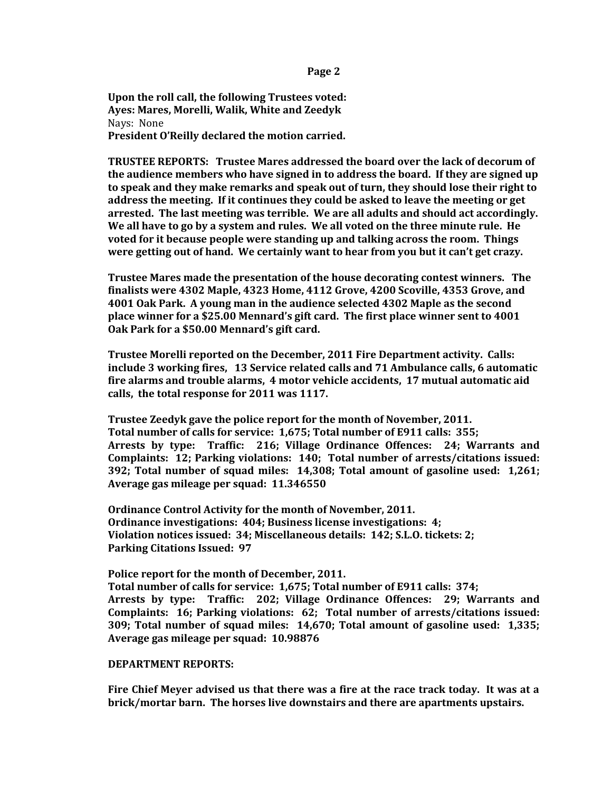**Page 2**

**Upon the roll call, the following Trustees voted: Ayes: Mares, Morelli, Walik, White and Zeedyk** Nays: None **President O'Reilly declared the motion carried.**

**TRUSTEE REPORTS: Trustee Mares addressed the board over the lack of decorum of the audience members who have signed in to address the board. If they are signed up to speak and they make remarks and speak out of turn, they should lose their right to address the meeting. If it continues they could be asked to leave the meeting or get arrested. The last meeting was terrible. We are all adults and should act accordingly. We all have to go by a system and rules. We all voted on the three minute rule. He voted for it because people were standing up and talking across the room. Things were getting out of hand. We certainly want to hear from you but it can't get crazy.**

**Trustee Mares made the presentation of the house decorating contest winners. The finalists were 4302 Maple, 4323 Home, 4112 Grove, 4200 Scoville, 4353 Grove, and 4001 Oak Park. A young man in the audience selected 4302 Maple as the second place winner for a \$25.00 Mennard's gift card. The first place winner sent to 4001 Oak Park for a \$50.00 Mennard's gift card.**

**Trustee Morelli reported on the December, 2011 Fire Department activity. Calls: include 3 working fires, 13 Service related calls and 71 Ambulance calls, 6 automatic fire alarms and trouble alarms, 4 motor vehicle accidents, 17 mutual automatic aid calls, the total response for 2011 was 1117.** 

**Trustee Zeedyk gave the police report for the month of November, 2011. Total number of calls for service: 1,675; Total number of E911 calls: 355; Arrests by type: Traffic: 216; Village Ordinance Offences: 24; Warrants and Complaints: 12; Parking violations: 140; Total number of arrests/citations issued: 392; Total number of squad miles: 14,308; Total amount of gasoline used: 1,261; Average gas mileage per squad: 11.346550**

**Ordinance Control Activity for the month of November, 2011. Ordinance investigations: 404; Business license investigations: 4; Violation notices issued: 34; Miscellaneous details: 142; S.L.O. tickets: 2; Parking Citations Issued: 97**

**Police report for the month of December, 2011.**

**Total number of calls for service: 1,675; Total number of E911 calls: 374; Arrests by type: Traffic: 202; Village Ordinance Offences: 29; Warrants and Complaints: 16; Parking violations: 62; Total number of arrests/citations issued: 309; Total number of squad miles: 14,670; Total amount of gasoline used: 1,335; Average gas mileage per squad: 10.98876**

## **DEPARTMENT REPORTS:**

**Fire Chief Meyer advised us that there was a fire at the race track today. It was at a brick/mortar barn. The horses live downstairs and there are apartments upstairs.**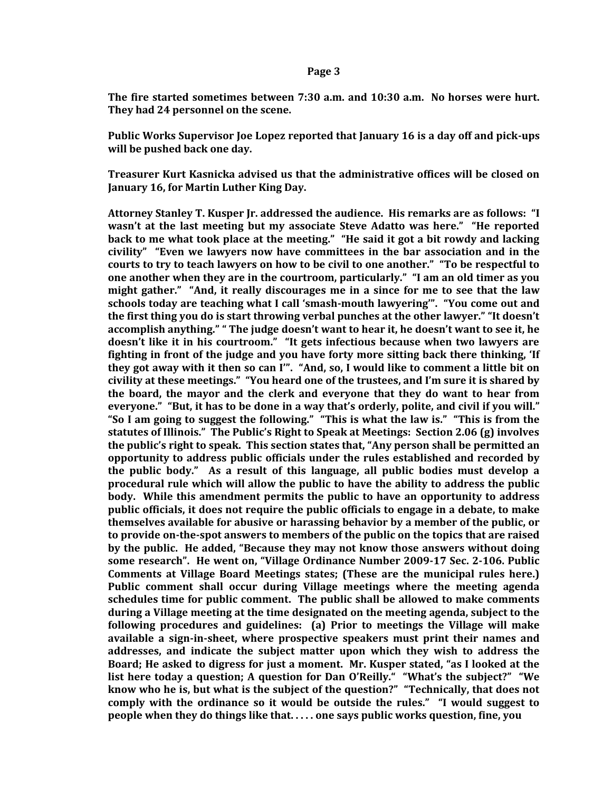## **Page 3**

**The fire started sometimes between 7:30 a.m. and 10:30 a.m. No horses were hurt. They had 24 personnel on the scene.** 

**Public Works Supervisor Joe Lopez reported that January 16 is a day off and pick-ups will be pushed back one day.**

**Treasurer Kurt Kasnicka advised us that the administrative offices will be closed on January 16, for Martin Luther King Day.** 

**Attorney Stanley T. Kusper Jr. addressed the audience. His remarks are as follows: "I wasn't at the last meeting but my associate Steve Adatto was here." "He reported back to me what took place at the meeting." "He said it got a bit rowdy and lacking civility" "Even we lawyers now have committees in the bar association and in the courts to try to teach lawyers on how to be civil to one another." "To be respectful to one another when they are in the courtroom, particularly." "I am an old timer as you might gather." "And, it really discourages me in a since for me to see that the law schools today are teaching what I call 'smash-mouth lawyering'". "You come out and the first thing you do is start throwing verbal punches at the other lawyer." "It doesn't accomplish anything." " The judge doesn't want to hear it, he doesn't want to see it, he doesn't like it in his courtroom." "It gets infectious because when two lawyers are fighting in front of the judge and you have forty more sitting back there thinking, 'If they got away with it then so can I'". "And, so, I would like to comment a little bit on civility at these meetings." "You heard one of the trustees, and I'm sure it is shared by the board, the mayor and the clerk and everyone that they do want to hear from everyone." "But, it has to be done in a way that's orderly, polite, and civil if you will." "So I am going to suggest the following." "This is what the law is." "This is from the statutes of Illinois." The Public's Right to Speak at Meetings: Section 2.06 (g) involves the public's right to speak. This section states that, "Any person shall be permitted an opportunity to address public officials under the rules established and recorded by the public body." As a result of this language, all public bodies must develop a procedural rule which will allow the public to have the ability to address the public body. While this amendment permits the public to have an opportunity to address public officials, it does not require the public officials to engage in a debate, to make themselves available for abusive or harassing behavior by a member of the public, or to provide on-the-spot answers to members of the public on the topics that are raised by the public. He added, "Because they may not know those answers without doing some research". He went on, "Village Ordinance Number 2009-17 Sec. 2-106. Public Comments at Village Board Meetings states; (These are the municipal rules here.) Public comment shall occur during Village meetings where the meeting agenda schedules time for public comment. The public shall be allowed to make comments during a Village meeting at the time designated on the meeting agenda, subject to the following procedures and guidelines: (a) Prior to meetings the Village will make available a sign-in-sheet, where prospective speakers must print their names and addresses, and indicate the subject matter upon which they wish to address the Board; He asked to digress for just a moment. Mr. Kusper stated, "as I looked at the list here today a question; A question for Dan O'Reilly." "What's the subject?" "We know who he is, but what is the subject of the question?" "Technically, that does not comply with the ordinance so it would be outside the rules." "I would suggest to people when they do things like that. . . . . one says public works question, fine, you**